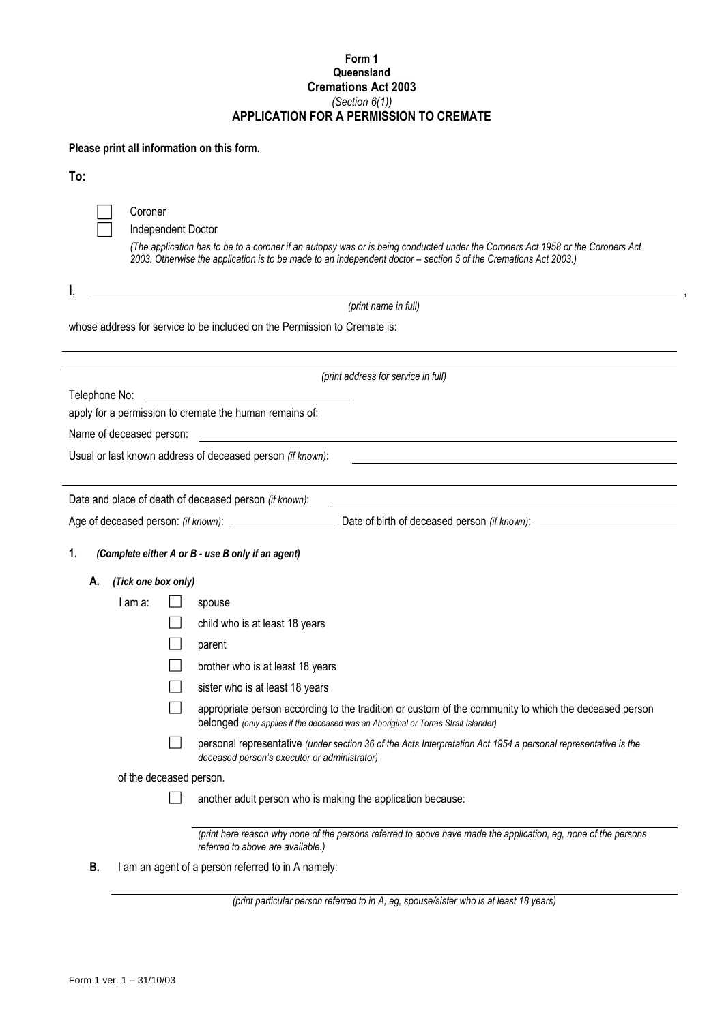## **Form 1 Queensland Cremations Act 2003**  *(Section 6(1))* **APPLICATION FOR A PERMISSION TO CREMATE**

## **Please print all information on this form.**

| - 1 |                     |  |
|-----|---------------------|--|
|     | ×<br>۰.<br>M.<br>۰. |  |
|     |                     |  |

| Coroner            |  |
|--------------------|--|
| Independent Doctor |  |

*(The application has to be to a coroner if an autopsy was or is being conducted under the Coroners Act 1958 or the Coroners Act 2003. Otherwise the application is to be made to an independent doctor – section 5 of the Cremations Act 2003.)*

| (print name in full)                                                      |  |
|---------------------------------------------------------------------------|--|
| whose address for service to be included on the Permission to Cremate is: |  |

*(print address for service in full)*

Telephone No: apply for a permission to cremate the human remains of:

Name of deceased person:

Usual or last known address of deceased person *(if known)*:

Date and place of death of deceased person *(if known)*:

Age of deceased person: *(if known)*: Date of birth of deceased person *(if known)*:

**1.** *(Complete either A or B - use B only if an agent)*

## **A.** *(Tick one box only)*

| I am a:                 |                                  | spouse                                                                                                                                                                                       |  |  |
|-------------------------|----------------------------------|----------------------------------------------------------------------------------------------------------------------------------------------------------------------------------------------|--|--|
|                         |                                  | child who is at least 18 years                                                                                                                                                               |  |  |
|                         |                                  | parent                                                                                                                                                                                       |  |  |
|                         | brother who is at least 18 years |                                                                                                                                                                                              |  |  |
|                         |                                  | sister who is at least 18 years                                                                                                                                                              |  |  |
|                         |                                  | appropriate person according to the tradition or custom of the community to which the deceased person<br>belonged (only applies if the deceased was an Aboriginal or Torres Strait Islander) |  |  |
|                         |                                  | personal representative (under section 36 of the Acts Interpretation Act 1954 a personal representative is the<br>deceased person's executor or administrator)                               |  |  |
| of the deceased person. |                                  |                                                                                                                                                                                              |  |  |
|                         |                                  | another adult person who is making the application because:                                                                                                                                  |  |  |
|                         |                                  |                                                                                                                                                                                              |  |  |
|                         |                                  | (print here reason why none of the persons referred to above have made the application, eg, none of the persons<br>referred to above are available.)                                         |  |  |

**B.** I am an agent of a person referred to in A namely:

*(print particular person referred to in A, eg, spouse/sister who is at least 18 years)*